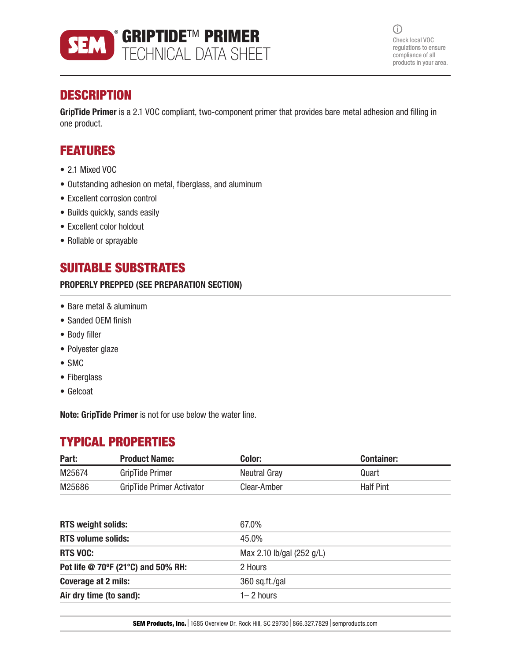

 $\bigcirc$ Check local VOC regulations to ensure compliance of all products in your area.

# **DESCRIPTION**

GripTide Primer is a 2.1 VOC compliant, two-component primer that provides bare metal adhesion and filling in one product.

## FEATURES

- 2.1 Mixed VOC
- Outstanding adhesion on metal, fiberglass, and aluminum
- Excellent corrosion control
- Builds quickly, sands easily
- Excellent color holdout
- Rollable or sprayable

## SUITABLE SUBSTRATES

#### PROPERLY PREPPED (SEE PREPARATION SECTION)

- Bare metal & aluminum
- Sanded OEM finish
- Body filler
- Polyester glaze
- SMC
- Fiberglass
- Gelcoat

Note: GripTide Primer is not for use below the water line.

## TYPICAL PROPERTIES

| Part:  | <b>Product Name:</b>      | Color:       | Container:       |
|--------|---------------------------|--------------|------------------|
| M25674 | GripTide Primer           | Neutral Gray | Quart            |
| M25686 | GripTide Primer Activator | Clear-Amber  | <b>Half Pint</b> |

| 67.0%                     |
|---------------------------|
| 45.0%                     |
| Max 2.10 lb/gal (252 g/L) |
| 2 Hours                   |
| 360 sq.ft./gal            |
| $1 - 2$ hours             |
|                           |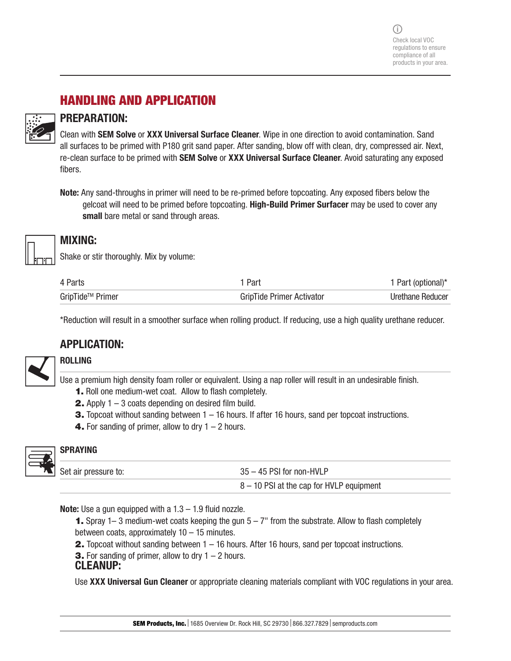# HANDLING AND APPLICATION

#### PREPARATION:

Clean with SEM Solve or XXX Universal Surface Cleaner. Wipe in one direction to avoid contamination. Sand all surfaces to be primed with P180 grit sand paper. After sanding, blow off with clean, dry, compressed air. Next, re-clean surface to be primed with **SEM Solve** or XXX Universal Surface Cleaner. Avoid saturating any exposed fibers.

Note: Any sand-throughs in primer will need to be re-primed before topcoating. Any exposed fibers below the gelcoat will need to be primed before topcoating. High-Build Primer Surfacer may be used to cover any small bare metal or sand through areas.



### MIXING:

Shake or stir thoroughly. Mix by volume:

| 4 Parts                      | Part                             | 1 Part (optional)* |
|------------------------------|----------------------------------|--------------------|
| GripTide <sup>™</sup> Primer | <b>GripTide Primer Activator</b> | Urethane Reducer   |

\*Reduction will result in a smoother surface when rolling product. If reducing, use a high quality urethane reducer.

### APPLICATION:



### ROLLING

Use a premium high density foam roller or equivalent. Using a nap roller will result in an undesirable finish.

- 1. Roll one medium-wet coat. Allow to flash completely.
- **2.** Apply  $1 3$  coats depending on desired film build.
- **3.** Topcoat without sanding between 1 16 hours. If after 16 hours, sand per topcoat instructions.
- **4.** For sanding of primer, allow to dry  $1 2$  hours.



#### SPRAYING

| Set air pressure to: | $35 - 45$ PSI for non-HVLP                 |  |
|----------------------|--------------------------------------------|--|
|                      | $8 - 10$ PSI at the cap for HVLP equipment |  |

**Note:** Use a gun equipped with a  $1.3 - 1.9$  fluid nozzle.

- **1.** Spray 1– 3 medium-wet coats keeping the gun  $5 7$ " from the substrate. Allow to flash completely between coats, approximately  $10 - 15$  minutes.
- 2. Topcoat without sanding between 1 16 hours. After 16 hours, sand per topcoat instructions.
- **3.** For sanding of primer, allow to dry  $1 2$  hours.

#### CLEANUP:

Use XXX Universal Gun Cleaner or appropriate cleaning materials compliant with VOC regulations in your area.